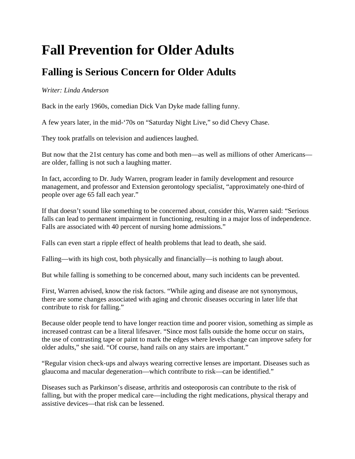## **Fall Prevention for Older Adults**

## **Falling is Serious Concern for Older Adults**

## *Writer: Linda Anderson*

Back in the early 1960s, comedian Dick Van Dyke made falling funny.

A few years later, in the mid-'70s on "Saturday Night Live," so did Chevy Chase.

They took pratfalls on television and audiences laughed.

But now that the 21st century has come and both men—as well as millions of other Americans are older, falling is not such a laughing matter.

In fact, according to Dr. Judy Warren, program leader in family development and resource management, and professor and Extension gerontology specialist, "approximately one-third of people over age 65 fall each year."

If that doesn't sound like something to be concerned about, consider this, Warren said: "Serious falls can lead to permanent impairment in functioning, resulting in a major loss of independence. Falls are associated with 40 percent of nursing home admissions."

Falls can even start a ripple effect of health problems that lead to death, she said.

Falling—with its high cost, both physically and financially—is nothing to laugh about.

But while falling is something to be concerned about, many such incidents can be prevented.

First, Warren advised, know the risk factors. "While aging and disease are not synonymous, there are some changes associated with aging and chronic diseases occuring in later life that contribute to risk for falling."

Because older people tend to have longer reaction time and poorer vision, something as simple as increased contrast can be a literal lifesaver. "Since most falls outside the home occur on stairs, the use of contrasting tape or paint to mark the edges where levels change can improve safety for older adults," she said. "Of course, hand rails on any stairs are important."

"Regular vision check-ups and always wearing corrective lenses are important. Diseases such as glaucoma and macular degeneration—which contribute to risk—can be identified."

Diseases such as Parkinson's disease, arthritis and osteoporosis can contribute to the risk of falling, but with the proper medical care—including the right medications, physical therapy and assistive devices—that risk can be lessened.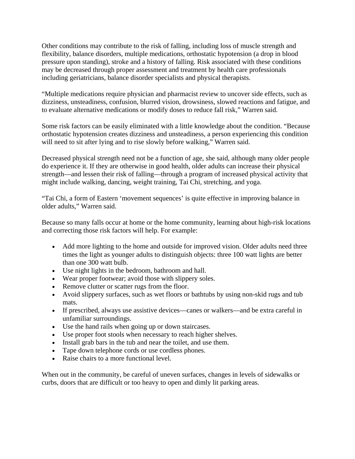Other conditions may contribute to the risk of falling, including loss of muscle strength and flexibility, balance disorders, multiple medications, orthostatic hypotension (a drop in blood pressure upon standing), stroke and a history of falling. Risk associated with these conditions may be decreased through proper assessment and treatment by health care professionals including geriatricians, balance disorder specialists and physical therapists.

"Multiple medications require physician and pharmacist review to uncover side effects, such as dizziness, unsteadiness, confusion, blurred vision, drowsiness, slowed reactions and fatigue, and to evaluate alternative medications or modify doses to reduce fall risk," Warren said.

Some risk factors can be easily eliminated with a little knowledge about the condition. "Because orthostatic hypotension creates dizziness and unsteadiness, a person experiencing this condition will need to sit after lying and to rise slowly before walking," Warren said.

Decreased physical strength need not be a function of age, she said, although many older people do experience it. If they are otherwise in good health, older adults can increase their physical strength—and lessen their risk of falling—through a program of increased physical activity that might include walking, dancing, weight training, Tai Chi, stretching, and yoga.

"Tai Chi, a form of Eastern 'movement sequences' is quite effective in improving balance in older adults," Warren said.

Because so many falls occur at home or the home community, learning about high-risk locations and correcting those risk factors will help. For example:

- Add more lighting to the home and outside for improved vision. Older adults need three times the light as younger adults to distinguish objects: three 100 watt lights are better than one 300 watt bulb.
- Use night lights in the bedroom, bathroom and hall.
- Wear proper footwear; avoid those with slippery soles.
- Remove clutter or scatter rugs from the floor.
- Avoid slippery surfaces, such as wet floors or bathtubs by using non-skid rugs and tub mats.
- If prescribed, always use assistive devices—canes or walkers—and be extra careful in unfamiliar surroundings.
- Use the hand rails when going up or down staircases.
- Use proper foot stools when necessary to reach higher shelves.
- Install grab bars in the tub and near the toilet, and use them.
- Tape down telephone cords or use cordless phones.
- Raise chairs to a more functional level.

When out in the community, be careful of uneven surfaces, changes in levels of sidewalks or curbs, doors that are difficult or too heavy to open and dimly lit parking areas.